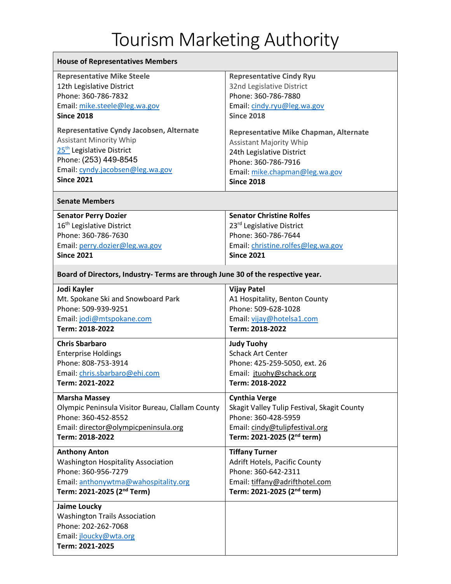## Tourism Marketing Authority

| <b>House of Representatives Members</b>                                                                                  |                                             |
|--------------------------------------------------------------------------------------------------------------------------|---------------------------------------------|
| <b>Representative Mike Steele</b>                                                                                        | <b>Representative Cindy Ryu</b>             |
| 12th Legislative District                                                                                                | 32nd Legislative District                   |
| Phone: 360-786-7832                                                                                                      | Phone: 360-786-7880                         |
| Email: mike.steele@leg.wa.gov                                                                                            | Email: cindy.ryu@leg.wa.gov                 |
| <b>Since 2018</b>                                                                                                        | <b>Since 2018</b>                           |
| Representative Cyndy Jacobsen, Alternate                                                                                 | Representative Mike Chapman, Alternate      |
| <b>Assistant Minority Whip</b>                                                                                           | <b>Assistant Majority Whip</b>              |
| 25 <sup>th</sup> Legislative District                                                                                    | 24th Legislative District                   |
| Phone: (253) 449-8545                                                                                                    | Phone: 360-786-7916                         |
| Email: cyndy.jacobsen@leg.wa.gov                                                                                         | Email: mike.chapman@leg.wa.gov              |
| <b>Since 2021</b>                                                                                                        | <b>Since 2018</b>                           |
| <b>Senate Members</b>                                                                                                    |                                             |
| <b>Senator Perry Dozier</b>                                                                                              | <b>Senator Christine Rolfes</b>             |
| 16 <sup>th</sup> Legislative District                                                                                    | 23 <sup>rd</sup> Legislative District       |
| Phone: 360-786-7630                                                                                                      | Phone: 360-786-7644                         |
| Email: perry.dozier@leg.wa.gov                                                                                           | Email: christine.rolfes@leg.wa.gov          |
| <b>Since 2021</b>                                                                                                        | <b>Since 2021</b>                           |
| Board of Directors, Industry- Terms are through June 30 of the respective year.                                          |                                             |
| Jodi Kayler                                                                                                              | <b>Vijay Patel</b>                          |
| Mt. Spokane Ski and Snowboard Park                                                                                       | A1 Hospitality, Benton County               |
| Phone: 509-939-9251                                                                                                      | Phone: 509-628-1028                         |
| Email: jodi@mtspokane.com                                                                                                | Email: vijay@hotelsa1.com                   |
| Term: 2018-2022                                                                                                          | Term: 2018-2022                             |
| <b>Chris Sbarbaro</b>                                                                                                    | <b>Judy Tuohy</b>                           |
| <b>Enterprise Holdings</b>                                                                                               | <b>Schack Art Center</b>                    |
| Phone: 808-753-3914                                                                                                      | Phone: 425-259-5050, ext. 26                |
| Email: chris.sbarbaro@ehi.com                                                                                            | Email: jtuohy@schack.org                    |
| Term: 2021-2022                                                                                                          | Term: 2018-2022                             |
| <b>Marsha Massey</b>                                                                                                     | <b>Cynthia Verge</b>                        |
| Olympic Peninsula Visitor Bureau, Clallam County                                                                         | Skagit Valley Tulip Festival, Skagit County |
| Phone: 360-452-8552                                                                                                      | Phone: 360-428-5959                         |
| Email: director@olympicpeninsula.org                                                                                     | Email: cindy@tulipfestival.org              |
| Term: 2018-2022                                                                                                          | Term: 2021-2025 (2 <sup>nd</sup> term)      |
| <b>Anthony Anton</b>                                                                                                     | <b>Tiffany Turner</b>                       |
| <b>Washington Hospitality Association</b>                                                                                | Adrift Hotels, Pacific County               |
| Phone: 360-956-7279                                                                                                      | Phone: 360-642-2311                         |
| Email: anthonywtma@wahospitality.org                                                                                     | Email: tiffany@adrifthotel.com              |
| Term: 2021-2025 (2 <sup>nd</sup> Term)                                                                                   | Term: 2021-2025 (2 <sup>nd</sup> term)      |
| Jaime Loucky<br><b>Washington Trails Association</b><br>Phone: 202-262-7068<br>Email: jloucky@wta.org<br>Term: 2021-2025 |                                             |